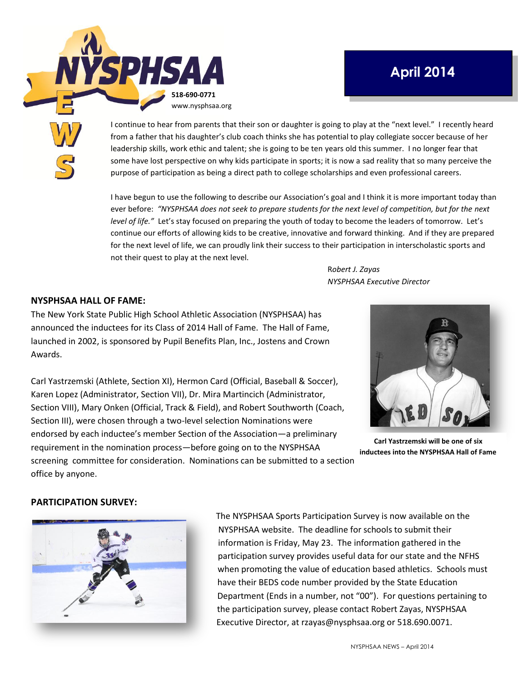

# **April 2014**

I continue to hear from parents that their son or daughter is going to play at the "next level." I recently heard from a father that his daughter's club coach thinks she has potential to play collegiate soccer because of her leadership skills, work ethic and talent; she is going to be ten years old this summer. I no longer fear that some have lost perspective on why kids participate in sports; it is now a sad reality that so many perceive the purpose of participation as being a direct path to college scholarships and even professional careers.

I have begun to use the following to describe our Association's goal and I think it is more important today than ever before: *"NYSPHSAA does not seek to prepare students for the next level of competition, but for the next level of life."* Let's stay focused on preparing the youth of today to become the leaders of tomorrow. Let's continue our efforts of allowing kids to be creative, innovative and forward thinking. And if they are prepared for the next level of life, we can proudly link their success to their participation in interscholastic sports and not their quest to play at the next level.

> R*obert J. Zayas NYSPHSAA Executive Director*

#### **NYSPHSAA HALL OF FAME:**

The New York State Public High School Athletic Association (NYSPHSAA) has announced the inductees for its Class of 2014 Hall of Fame. The Hall of Fame, launched in 2002, is sponsored by Pupil Benefits Plan, Inc., Jostens and Crown Awards.

Carl Yastrzemski (Athlete, Section XI), Hermon Card (Official, Baseball & Soccer), Karen Lopez (Administrator, Section VII), Dr. Mira Martincich (Administrator, Section VIII), Mary Onken (Official, Track & Field), and Robert Southworth (Coach, Section III), were chosen through a two-level selection Nominations were endorsed by each inductee's member Section of the Association—a preliminary requirement in the nomination process—before going on to the NYSPHSAA screening committee for consideration. Nominations can be submitted to a section office by anyone.



**Carl Yastrzemski will be one of six inductees into the NYSPHSAA Hall of Fame**

#### **PARTICIPATION SURVEY:**



The NYSPHSAA Sports Participation Survey is now available on the NYSPHSAA website. The deadline for schools to submit their information is Friday, May 23. The information gathered in the participation survey provides useful data for our state and the NFHS when promoting the value of education based athletics. Schools must have their BEDS code number provided by the State Education Department (Ends in a number, not "00"). For questions pertaining to the participation survey, please contact Robert Zayas, NYSPHSAA Executive Director, at rzayas@nysphsaa.org or 518.690.0071.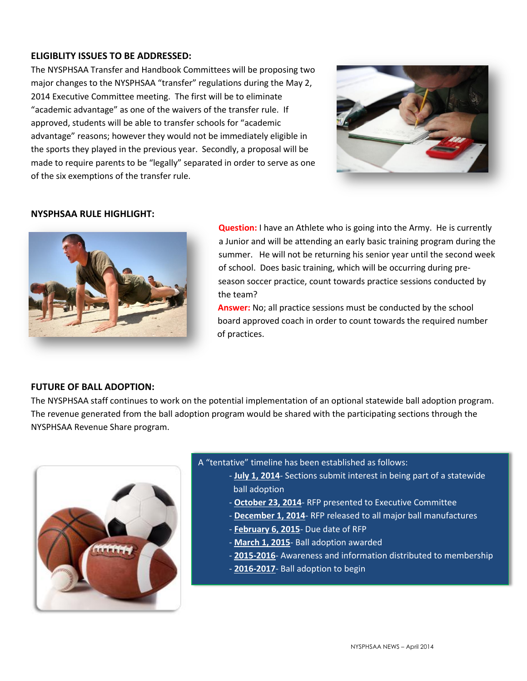### **ELIGIBLITY ISSUES TO BE ADDRESSED:**

The NYSPHSAA Transfer and Handbook Committees will be proposing two major changes to the NYSPHSAA "transfer" regulations during the May 2, 2014 Executive Committee meeting. The first will be to eliminate "academic advantage" as one of the waivers of the transfer rule. If approved, students will be able to transfer schools for "academic advantage" reasons; however they would not be immediately eligible in the sports they played in the previous year. Secondly, a proposal will be made to require parents to be "legally" separated in order to serve as one of the six exemptions of the transfer rule.



#### **NYSPHSAA RULE HIGHLIGHT:**



**Question:** I have an Athlete who is going into the Army. He is currently a Junior and will be attending an early basic training program during the summer. He will not be returning his senior year until the second week of school. Does basic training, which will be occurring during preseason soccer practice, count towards practice sessions conducted by the team?

**Answer:** No; all practice sessions must be conducted by the school board approved coach in order to count towards the required number of practices.

#### **FUTURE OF BALL ADOPTION:**

The NYSPHSAA staff continues to work on the potential implementation of an optional statewide ball adoption program. The revenue generated from the ball adoption program would be shared with the participating sections through the NYSPHSAA Revenue Share program.



A "tentative" timeline has been established as follows:

- **July 1, 2014** Sections submit interest in being part of a statewide ball adoption
- **October 23, 2014** RFP presented to Executive Committee
- **December 1, 2014** RFP released to all major ball manufactures
- **February 6, 2015** Due date of RFP
- **March 1, 2015** Ball adoption awarded
- **2015-2016** Awareness and information distributed to membership
- **2016-2017** Ball adoption to begin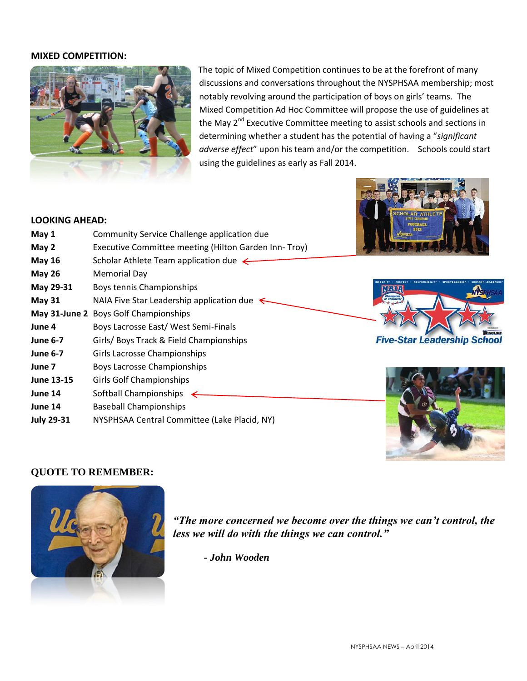#### **MIXED COMPETITION:**



The topic of Mixed Competition continues to be at the forefront of many discussions and conversations throughout the NYSPHSAA membership; most notably revolving around the participation of boys on girls' teams. The Mixed Competition Ad Hoc Committee will propose the use of guidelines at the May 2<sup>nd</sup> Executive Committee meeting to assist schools and sections in determining whether a student has the potential of having a "*significant adverse effect*" upon his team and/or the competition. Schools could start using the guidelines as early as Fall 2014.

#### **LOOKING AHEAD:**

| May 1             | Community Service Challenge application due           | 2012                    |
|-------------------|-------------------------------------------------------|-------------------------|
| May 2             | Executive Committee meeting (Hilton Garden Inn- Troy) |                         |
| <b>May 16</b>     | Scholar Athlete Team application due $\leftarrow$     |                         |
| <b>May 26</b>     | <b>Memorial Day</b>                                   |                         |
| May 29-31         | Boys tennis Championships                             |                         |
| <b>May 31</b>     | NAIA Five Star Leadership application due             |                         |
|                   | May 31-June 2 Boys Golf Championships                 |                         |
| June 4            | Boys Lacrosse East/West Semi-Finals                   |                         |
| <b>June 6-7</b>   | Girls/ Boys Track & Field Championships               | <b>Five-Star Leader</b> |
| <b>June 6-7</b>   | Girls Lacrosse Championships                          |                         |
| June 7            | <b>Boys Lacrosse Championships</b>                    |                         |
| <b>June 13-15</b> | <b>Girls Golf Championships</b>                       |                         |
| June 14           | Softball Championships                                |                         |
| June 14           | <b>Baseball Championships</b>                         |                         |
| <b>July 29-31</b> | NYSPHSAA Central Committee (Lake Placid, NY)          |                         |
|                   |                                                       |                         |

## **QUOTE TO REMEMBER:**



*"The more concerned we become over the things we can't control, the less we will do with the things we can control."*

*- John Wooden*

ship School